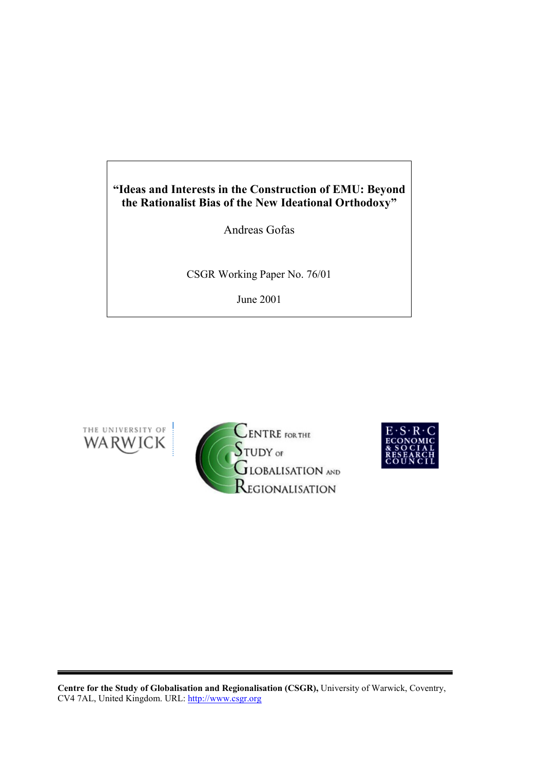# **"Ideas and Interests in the Construction of EMU: Beyond the Rationalist Bias of the New Ideational Orthodoxy"**

Andreas Gofas

CSGR Working Paper No. 76/01

June 2001







**Centre for the Study of Globalisation and Regionalisation (CSGR),** University of Warwick, Coventry, CV4 7AL, United Kingdom. URL: http://www.csgr.org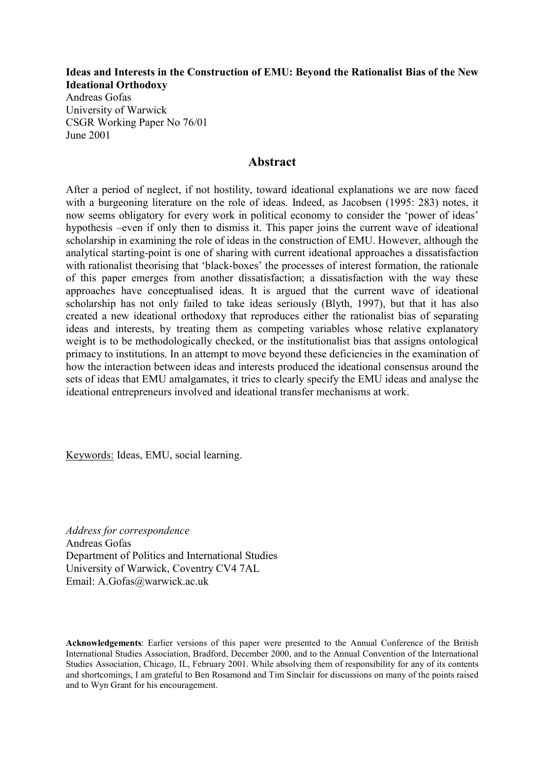**Ideas and Interests in the Construction of EMU: Beyond the Rationalist Bias of the New Ideational Orthodoxy** 

Andreas Gofas University of Warwick CSGR Working Paper No 76/01 June 2001

# **Abstract**

After a period of neglect, if not hostility, toward ideational explanations we are now faced with a burgeoning literature on the role of ideas. Indeed, as Jacobsen (1995: 283) notes, it now seems obligatory for every work in political economy to consider the 'power of ideas' hypothesis –even if only then to dismiss it. This paper joins the current wave of ideational scholarship in examining the role of ideas in the construction of EMU. However, although the analytical starting-point is one of sharing with current ideational approaches a dissatisfaction with rationalist theorising that 'black-boxes' the processes of interest formation, the rationale of this paper emerges from another dissatisfaction; a dissatisfaction with the way these approaches have conceptualised ideas. It is argued that the current wave of ideational scholarship has not only failed to take ideas seriously (Blyth, 1997), but that it has also created a new ideational orthodoxy that reproduces either the rationalist bias of separating ideas and interests, by treating them as competing variables whose relative explanatory weight is to be methodologically checked, or the institutionalist bias that assigns ontological primacy to institutions. In an attempt to move beyond these deficiencies in the examination of how the interaction between ideas and interests produced the ideational consensus around the sets of ideas that EMU amalgamates, it tries to clearly specify the EMU ideas and analyse the ideational entrepreneurs involved and ideational transfer mechanisms at work.

Keywords: Ideas, EMU, social learning.

*Address for correspondence*  Andreas Gofas Department of Politics and International Studies University of Warwick, Coventry CV4 7AL Email: A.Gofas@warwick.ac.uk

**Acknowledgements**: Earlier versions of this paper were presented to the Annual Conference of the British International Studies Association, Bradford, December 2000, and to the Annual Convention of the International Studies Association, Chicago, IL, February 2001. While absolving them of responsibility for any of its contents and shortcomings, I am grateful to Ben Rosamond and Tim Sinclair for discussions on many of the points raised and to Wyn Grant for his encouragement.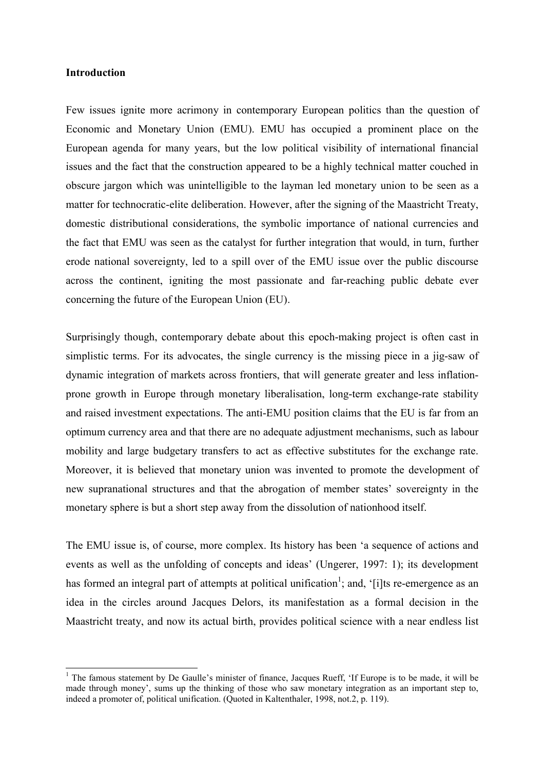# **Introduction**

 $\overline{\phantom{a}}$ 

Few issues ignite more acrimony in contemporary European politics than the question of Economic and Monetary Union (EMU). EMU has occupied a prominent place on the European agenda for many years, but the low political visibility of international financial issues and the fact that the construction appeared to be a highly technical matter couched in obscure jargon which was unintelligible to the layman led monetary union to be seen as a matter for technocratic-elite deliberation. However, after the signing of the Maastricht Treaty, domestic distributional considerations, the symbolic importance of national currencies and the fact that EMU was seen as the catalyst for further integration that would, in turn, further erode national sovereignty, led to a spill over of the EMU issue over the public discourse across the continent, igniting the most passionate and far-reaching public debate ever concerning the future of the European Union (EU).

Surprisingly though, contemporary debate about this epoch-making project is often cast in simplistic terms. For its advocates, the single currency is the missing piece in a jig-saw of dynamic integration of markets across frontiers, that will generate greater and less inflationprone growth in Europe through monetary liberalisation, long-term exchange-rate stability and raised investment expectations. The anti-EMU position claims that the EU is far from an optimum currency area and that there are no adequate adjustment mechanisms, such as labour mobility and large budgetary transfers to act as effective substitutes for the exchange rate. Moreover, it is believed that monetary union was invented to promote the development of new supranational structures and that the abrogation of member states' sovereignty in the monetary sphere is but a short step away from the dissolution of nationhood itself.

The EMU issue is, of course, more complex. Its history has been 'a sequence of actions and events as well as the unfolding of concepts and ideas' (Ungerer, 1997: 1); its development has formed an integral part of attempts at political unification<sup>1</sup>; and, '[i]ts re-emergence as an idea in the circles around Jacques Delors, its manifestation as a formal decision in the Maastricht treaty, and now its actual birth, provides political science with a near endless list

<sup>&</sup>lt;sup>1</sup> The famous statement by De Gaulle's minister of finance, Jacques Rueff, 'If Europe is to be made, it will be made through money', sums up the thinking of those who saw monetary integration as an important step to, indeed a promoter of, political unification. (Quoted in Kaltenthaler, 1998, not.2, p. 119).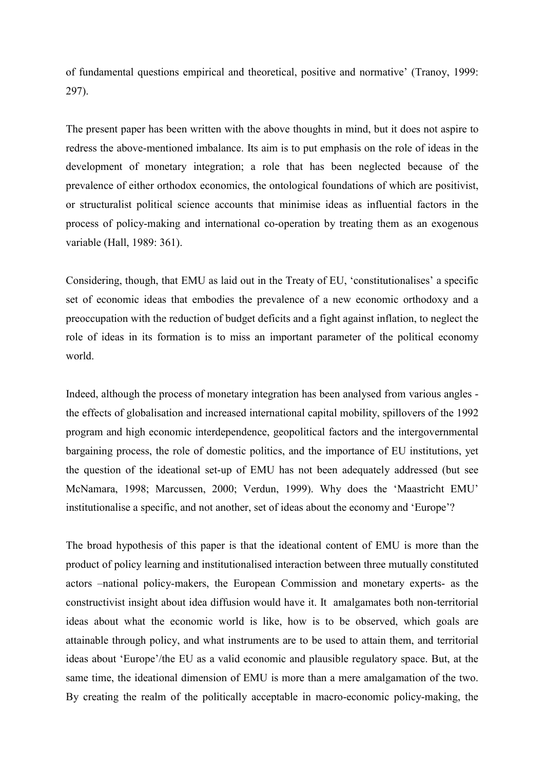of fundamental questions empirical and theoretical, positive and normative' (Tranoy, 1999: 297).

The present paper has been written with the above thoughts in mind, but it does not aspire to redress the above-mentioned imbalance. Its aim is to put emphasis on the role of ideas in the development of monetary integration; a role that has been neglected because of the prevalence of either orthodox economics, the ontological foundations of which are positivist, or structuralist political science accounts that minimise ideas as influential factors in the process of policy-making and international co-operation by treating them as an exogenous variable (Hall, 1989: 361).

Considering, though, that EMU as laid out in the Treaty of EU, 'constitutionalises' a specific set of economic ideas that embodies the prevalence of a new economic orthodoxy and a preoccupation with the reduction of budget deficits and a fight against inflation, to neglect the role of ideas in its formation is to miss an important parameter of the political economy world.

Indeed, although the process of monetary integration has been analysed from various angles the effects of globalisation and increased international capital mobility, spillovers of the 1992 program and high economic interdependence, geopolitical factors and the intergovernmental bargaining process, the role of domestic politics, and the importance of EU institutions, yet the question of the ideational set-up of EMU has not been adequately addressed (but see McNamara, 1998; Marcussen, 2000; Verdun, 1999). Why does the 'Maastricht EMU' institutionalise a specific, and not another, set of ideas about the economy and 'Europe'?

The broad hypothesis of this paper is that the ideational content of EMU is more than the product of policy learning and institutionalised interaction between three mutually constituted actors –national policy-makers, the European Commission and monetary experts- as the constructivist insight about idea diffusion would have it. It amalgamates both non-territorial ideas about what the economic world is like, how is to be observed, which goals are attainable through policy, and what instruments are to be used to attain them, and territorial ideas about 'Europe'/the EU as a valid economic and plausible regulatory space. But, at the same time, the ideational dimension of EMU is more than a mere amalgamation of the two. By creating the realm of the politically acceptable in macro-economic policy-making, the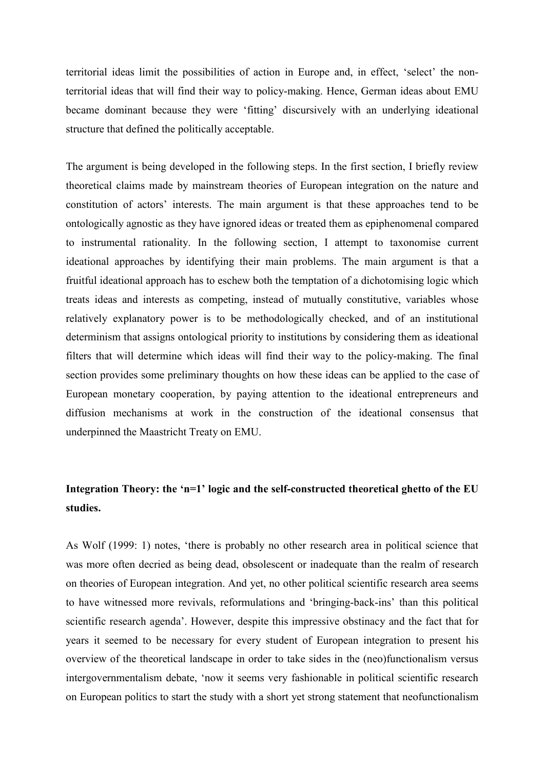territorial ideas limit the possibilities of action in Europe and, in effect, 'select' the nonterritorial ideas that will find their way to policy-making. Hence, German ideas about EMU became dominant because they were 'fitting' discursively with an underlying ideational structure that defined the politically acceptable.

The argument is being developed in the following steps. In the first section, I briefly review theoretical claims made by mainstream theories of European integration on the nature and constitution of actors' interests. The main argument is that these approaches tend to be ontologically agnostic as they have ignored ideas or treated them as epiphenomenal compared to instrumental rationality. In the following section, I attempt to taxonomise current ideational approaches by identifying their main problems. The main argument is that a fruitful ideational approach has to eschew both the temptation of a dichotomising logic which treats ideas and interests as competing, instead of mutually constitutive, variables whose relatively explanatory power is to be methodologically checked, and of an institutional determinism that assigns ontological priority to institutions by considering them as ideational filters that will determine which ideas will find their way to the policy-making. The final section provides some preliminary thoughts on how these ideas can be applied to the case of European monetary cooperation, by paying attention to the ideational entrepreneurs and diffusion mechanisms at work in the construction of the ideational consensus that underpinned the Maastricht Treaty on EMU.

# **Integration Theory: the 'n=1' logic and the self-constructed theoretical ghetto of the EU studies.**

As Wolf (1999: 1) notes, 'there is probably no other research area in political science that was more often decried as being dead, obsolescent or inadequate than the realm of research on theories of European integration. And yet, no other political scientific research area seems to have witnessed more revivals, reformulations and 'bringing-back-ins' than this political scientific research agenda'. However, despite this impressive obstinacy and the fact that for years it seemed to be necessary for every student of European integration to present his overview of the theoretical landscape in order to take sides in the (neo)functionalism versus intergovernmentalism debate, 'now it seems very fashionable in political scientific research on European politics to start the study with a short yet strong statement that neofunctionalism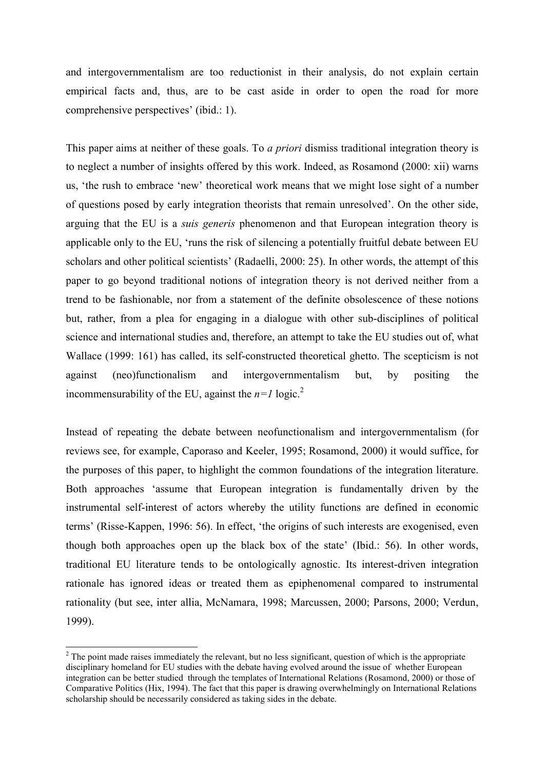and intergovernmentalism are too reductionist in their analysis, do not explain certain empirical facts and, thus, are to be cast aside in order to open the road for more comprehensive perspectives' (ibid.: 1).

This paper aims at neither of these goals. To *a priori* dismiss traditional integration theory is to neglect a number of insights offered by this work. Indeed, as Rosamond (2000: xii) warns us, 'the rush to embrace 'new' theoretical work means that we might lose sight of a number of questions posed by early integration theorists that remain unresolved'. On the other side, arguing that the EU is a *suis generis* phenomenon and that European integration theory is applicable only to the EU, 'runs the risk of silencing a potentially fruitful debate between EU scholars and other political scientists' (Radaelli, 2000: 25). In other words, the attempt of this paper to go beyond traditional notions of integration theory is not derived neither from a trend to be fashionable, nor from a statement of the definite obsolescence of these notions but, rather, from a plea for engaging in a dialogue with other sub-disciplines of political science and international studies and, therefore, an attempt to take the EU studies out of, what Wallace (1999: 161) has called, its self-constructed theoretical ghetto. The scepticism is not against (neo)functionalism and intergovernmentalism but, by positing the incommensurability of the EU, against the  $n=1$  logic.<sup>2</sup>

Instead of repeating the debate between neofunctionalism and intergovernmentalism (for reviews see, for example, Caporaso and Keeler, 1995; Rosamond, 2000) it would suffice, for the purposes of this paper, to highlight the common foundations of the integration literature. Both approaches 'assume that European integration is fundamentally driven by the instrumental self-interest of actors whereby the utility functions are defined in economic terms' (Risse-Kappen, 1996: 56). In effect, 'the origins of such interests are exogenised, even though both approaches open up the black box of the state' (Ibid.: 56). In other words, traditional EU literature tends to be ontologically agnostic. Its interest-driven integration rationale has ignored ideas or treated them as epiphenomenal compared to instrumental rationality (but see, inter allia, McNamara, 1998; Marcussen, 2000; Parsons, 2000; Verdun, 1999).

l

 $2^2$  The point made raises immediately the relevant, but no less significant, question of which is the appropriate disciplinary homeland for EU studies with the debate having evolved around the issue of whether European integration can be better studied through the templates of International Relations (Rosamond, 2000) or those of Comparative Politics (Hix, 1994). The fact that this paper is drawing overwhelmingly on International Relations scholarship should be necessarily considered as taking sides in the debate.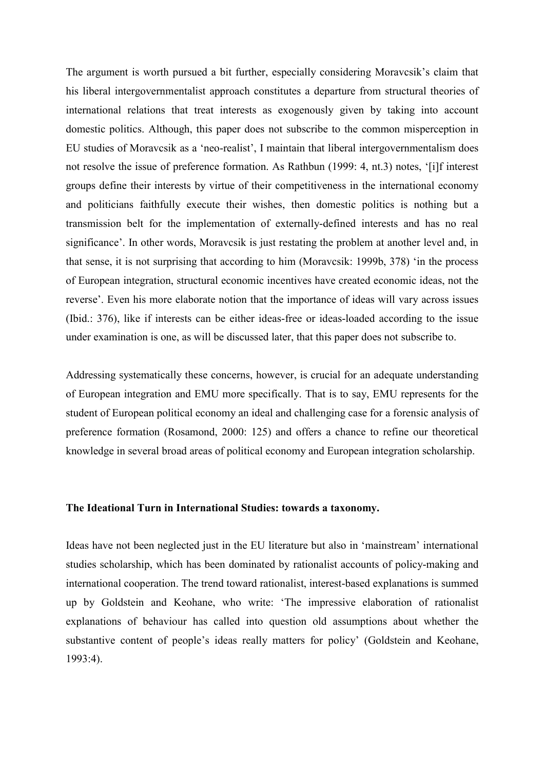The argument is worth pursued a bit further, especially considering Moravcsik's claim that his liberal intergovernmentalist approach constitutes a departure from structural theories of international relations that treat interests as exogenously given by taking into account domestic politics. Although, this paper does not subscribe to the common misperception in EU studies of Moravcsik as a 'neo-realist', I maintain that liberal intergovernmentalism does not resolve the issue of preference formation. As Rathbun (1999: 4, nt.3) notes, '[i]f interest groups define their interests by virtue of their competitiveness in the international economy and politicians faithfully execute their wishes, then domestic politics is nothing but a transmission belt for the implementation of externally-defined interests and has no real significance'. In other words, Moravcsik is just restating the problem at another level and, in that sense, it is not surprising that according to him (Moravcsik: 1999b, 378) 'in the process of European integration, structural economic incentives have created economic ideas, not the reverse'. Even his more elaborate notion that the importance of ideas will vary across issues (Ibid.: 376), like if interests can be either ideas-free or ideas-loaded according to the issue under examination is one, as will be discussed later, that this paper does not subscribe to.

Addressing systematically these concerns, however, is crucial for an adequate understanding of European integration and EMU more specifically. That is to say, EMU represents for the student of European political economy an ideal and challenging case for a forensic analysis of preference formation (Rosamond, 2000: 125) and offers a chance to refine our theoretical knowledge in several broad areas of political economy and European integration scholarship.

# **The Ideational Turn in International Studies: towards a taxonomy.**

Ideas have not been neglected just in the EU literature but also in 'mainstream' international studies scholarship, which has been dominated by rationalist accounts of policy-making and international cooperation. The trend toward rationalist, interest-based explanations is summed up by Goldstein and Keohane, who write: 'The impressive elaboration of rationalist explanations of behaviour has called into question old assumptions about whether the substantive content of people's ideas really matters for policy' (Goldstein and Keohane, 1993:4).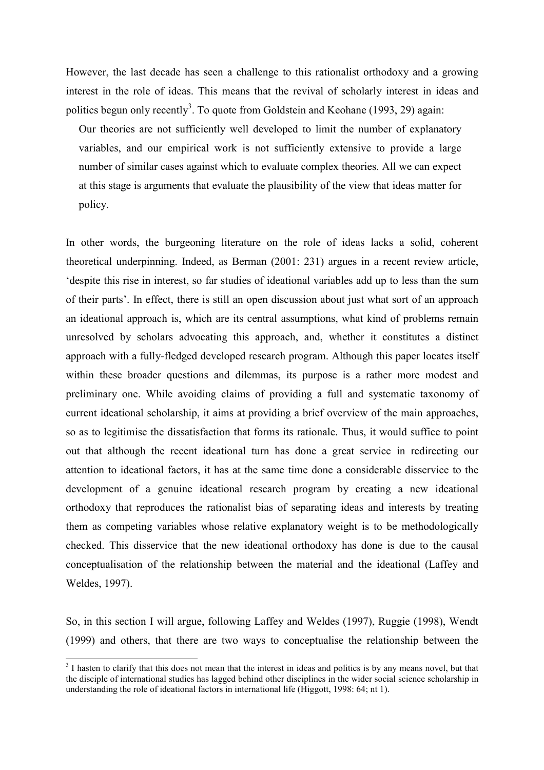However, the last decade has seen a challenge to this rationalist orthodoxy and a growing interest in the role of ideas. This means that the revival of scholarly interest in ideas and politics begun only recently<sup>3</sup>. To quote from Goldstein and Keohane (1993, 29) again:

Our theories are not sufficiently well developed to limit the number of explanatory variables, and our empirical work is not sufficiently extensive to provide a large number of similar cases against which to evaluate complex theories. All we can expect at this stage is arguments that evaluate the plausibility of the view that ideas matter for policy.

In other words, the burgeoning literature on the role of ideas lacks a solid, coherent theoretical underpinning. Indeed, as Berman (2001: 231) argues in a recent review article, 'despite this rise in interest, so far studies of ideational variables add up to less than the sum of their parts'. In effect, there is still an open discussion about just what sort of an approach an ideational approach is, which are its central assumptions, what kind of problems remain unresolved by scholars advocating this approach, and, whether it constitutes a distinct approach with a fully-fledged developed research program. Although this paper locates itself within these broader questions and dilemmas, its purpose is a rather more modest and preliminary one. While avoiding claims of providing a full and systematic taxonomy of current ideational scholarship, it aims at providing a brief overview of the main approaches, so as to legitimise the dissatisfaction that forms its rationale. Thus, it would suffice to point out that although the recent ideational turn has done a great service in redirecting our attention to ideational factors, it has at the same time done a considerable disservice to the development of a genuine ideational research program by creating a new ideational orthodoxy that reproduces the rationalist bias of separating ideas and interests by treating them as competing variables whose relative explanatory weight is to be methodologically checked. This disservice that the new ideational orthodoxy has done is due to the causal conceptualisation of the relationship between the material and the ideational (Laffey and Weldes, 1997).

So, in this section I will argue, following Laffey and Weldes (1997), Ruggie (1998), Wendt (1999) and others, that there are two ways to conceptualise the relationship between the

<sup>&</sup>lt;sup>3</sup> I hasten to clarify that this does not mean that the interest in ideas and politics is by any means novel, but that the disciple of international studies has lagged behind other disciplines in the wider social science scholarship in understanding the role of ideational factors in international life (Higgott, 1998: 64; nt 1).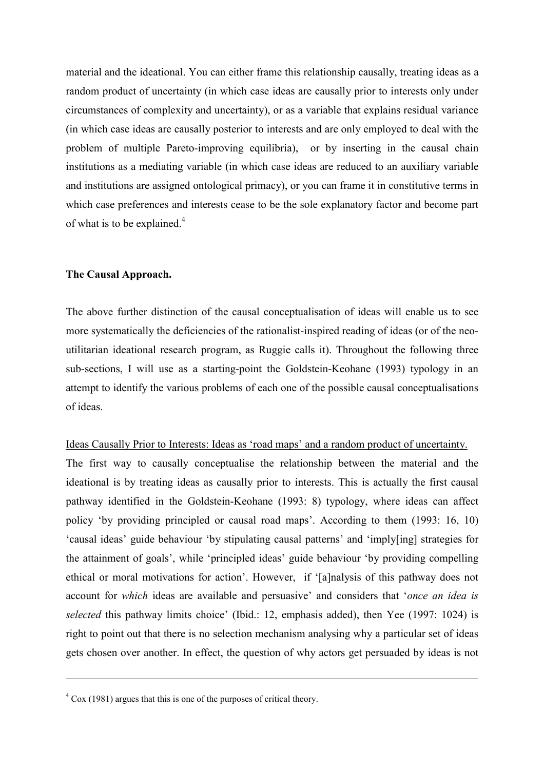material and the ideational. You can either frame this relationship causally, treating ideas as a random product of uncertainty (in which case ideas are causally prior to interests only under circumstances of complexity and uncertainty), or as a variable that explains residual variance (in which case ideas are causally posterior to interests and are only employed to deal with the problem of multiple Pareto-improving equilibria), or by inserting in the causal chain institutions as a mediating variable (in which case ideas are reduced to an auxiliary variable and institutions are assigned ontological primacy), or you can frame it in constitutive terms in which case preferences and interests cease to be the sole explanatory factor and become part of what is to be explained. $4$ 

# **The Causal Approach.**

The above further distinction of the causal conceptualisation of ideas will enable us to see more systematically the deficiencies of the rationalist-inspired reading of ideas (or of the neoutilitarian ideational research program, as Ruggie calls it). Throughout the following three sub-sections, I will use as a starting-point the Goldstein-Keohane (1993) typology in an attempt to identify the various problems of each one of the possible causal conceptualisations of ideas.

## Ideas Causally Prior to Interests: Ideas as 'road maps' and a random product of uncertainty.

The first way to causally conceptualise the relationship between the material and the ideational is by treating ideas as causally prior to interests. This is actually the first causal pathway identified in the Goldstein-Keohane (1993: 8) typology, where ideas can affect policy 'by providing principled or causal road maps'. According to them (1993: 16, 10) 'causal ideas' guide behaviour 'by stipulating causal patterns' and 'imply[ing] strategies for the attainment of goals', while 'principled ideas' guide behaviour 'by providing compelling ethical or moral motivations for action'. However, if '[a]nalysis of this pathway does not account for *which* ideas are available and persuasive' and considers that '*once an idea is selected* this pathway limits choice' (Ibid.: 12, emphasis added), then Yee (1997: 1024) is right to point out that there is no selection mechanism analysing why a particular set of ideas gets chosen over another. In effect, the question of why actors get persuaded by ideas is not

 $\overline{a}$ 

 $4 \text{ Cox}$  (1981) argues that this is one of the purposes of critical theory.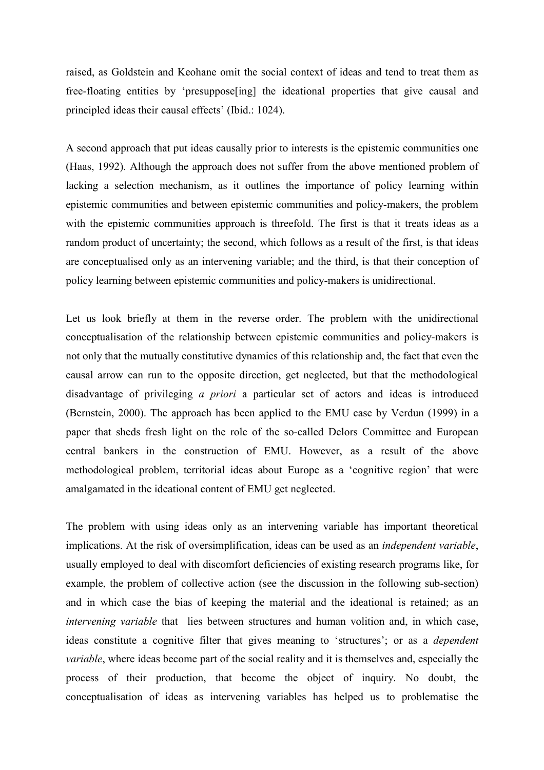raised, as Goldstein and Keohane omit the social context of ideas and tend to treat them as free-floating entities by 'presuppose[ing] the ideational properties that give causal and principled ideas their causal effects' (Ibid.: 1024).

A second approach that put ideas causally prior to interests is the epistemic communities one (Haas, 1992). Although the approach does not suffer from the above mentioned problem of lacking a selection mechanism, as it outlines the importance of policy learning within epistemic communities and between epistemic communities and policy-makers, the problem with the epistemic communities approach is threefold. The first is that it treats ideas as a random product of uncertainty; the second, which follows as a result of the first, is that ideas are conceptualised only as an intervening variable; and the third, is that their conception of policy learning between epistemic communities and policy-makers is unidirectional.

Let us look briefly at them in the reverse order. The problem with the unidirectional conceptualisation of the relationship between epistemic communities and policy-makers is not only that the mutually constitutive dynamics of this relationship and, the fact that even the causal arrow can run to the opposite direction, get neglected, but that the methodological disadvantage of privileging *a priori* a particular set of actors and ideas is introduced (Bernstein, 2000). The approach has been applied to the EMU case by Verdun (1999) in a paper that sheds fresh light on the role of the so-called Delors Committee and European central bankers in the construction of EMU. However, as a result of the above methodological problem, territorial ideas about Europe as a 'cognitive region' that were amalgamated in the ideational content of EMU get neglected.

The problem with using ideas only as an intervening variable has important theoretical implications. At the risk of oversimplification, ideas can be used as an *independent variable*, usually employed to deal with discomfort deficiencies of existing research programs like, for example, the problem of collective action (see the discussion in the following sub-section) and in which case the bias of keeping the material and the ideational is retained; as an *intervening variable* that lies between structures and human volition and, in which case, ideas constitute a cognitive filter that gives meaning to 'structures'; or as a *dependent variable*, where ideas become part of the social reality and it is themselves and, especially the process of their production, that become the object of inquiry. No doubt, the conceptualisation of ideas as intervening variables has helped us to problematise the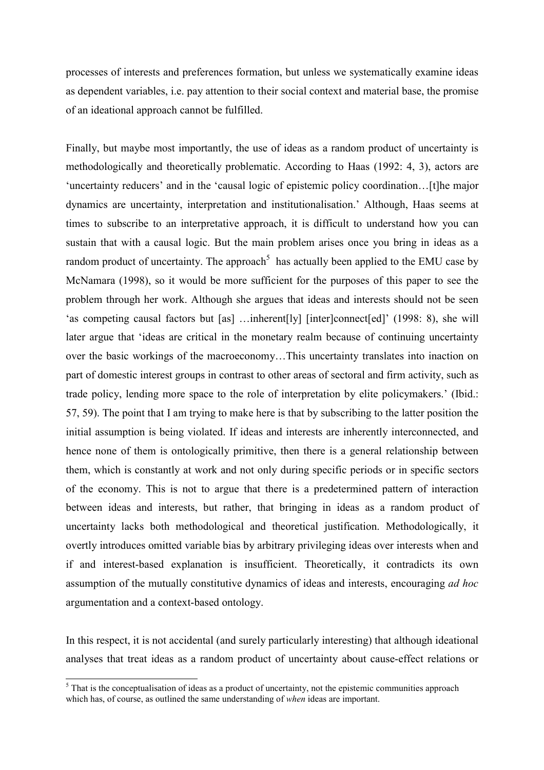processes of interests and preferences formation, but unless we systematically examine ideas as dependent variables, i.e. pay attention to their social context and material base, the promise of an ideational approach cannot be fulfilled.

Finally, but maybe most importantly, the use of ideas as a random product of uncertainty is methodologically and theoretically problematic. According to Haas (1992: 4, 3), actors are 'uncertainty reducers' and in the 'causal logic of epistemic policy coordination…[t]he major dynamics are uncertainty, interpretation and institutionalisation.' Although, Haas seems at times to subscribe to an interpretative approach, it is difficult to understand how you can sustain that with a causal logic. But the main problem arises once you bring in ideas as a random product of uncertainty. The approach<sup>5</sup> has actually been applied to the EMU case by McNamara (1998), so it would be more sufficient for the purposes of this paper to see the problem through her work. Although she argues that ideas and interests should not be seen 'as competing causal factors but [as] …inherent[ly] [inter]connect[ed]' (1998: 8), she will later argue that 'ideas are critical in the monetary realm because of continuing uncertainty over the basic workings of the macroeconomy…This uncertainty translates into inaction on part of domestic interest groups in contrast to other areas of sectoral and firm activity, such as trade policy, lending more space to the role of interpretation by elite policymakers.' (Ibid.: 57, 59). The point that I am trying to make here is that by subscribing to the latter position the initial assumption is being violated. If ideas and interests are inherently interconnected, and hence none of them is ontologically primitive, then there is a general relationship between them, which is constantly at work and not only during specific periods or in specific sectors of the economy. This is not to argue that there is a predetermined pattern of interaction between ideas and interests, but rather, that bringing in ideas as a random product of uncertainty lacks both methodological and theoretical justification. Methodologically, it overtly introduces omitted variable bias by arbitrary privileging ideas over interests when and if and interest-based explanation is insufficient. Theoretically, it contradicts its own assumption of the mutually constitutive dynamics of ideas and interests, encouraging *ad hoc* argumentation and a context-based ontology.

In this respect, it is not accidental (and surely particularly interesting) that although ideational analyses that treat ideas as a random product of uncertainty about cause-effect relations or

<sup>&</sup>lt;sup>5</sup> That is the conceptualisation of ideas as a product of uncertainty, not the epistemic communities approach which has, of course, as outlined the same understanding of *when* ideas are important.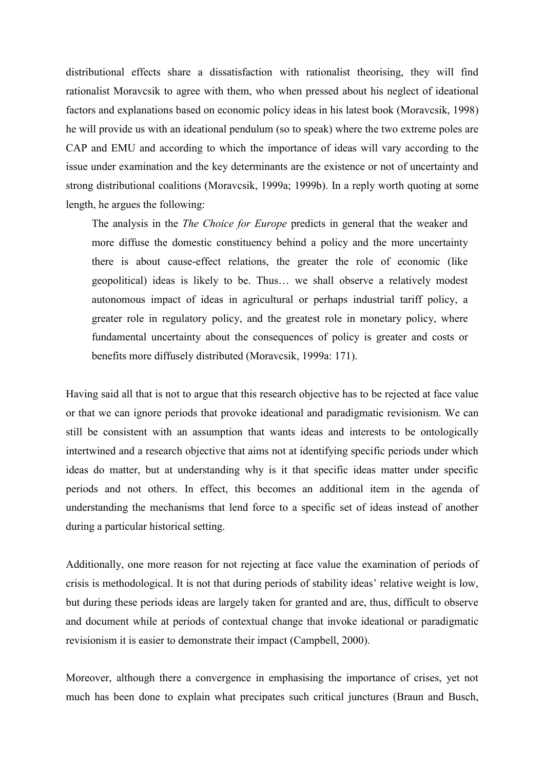distributional effects share a dissatisfaction with rationalist theorising, they will find rationalist Moravcsik to agree with them, who when pressed about his neglect of ideational factors and explanations based on economic policy ideas in his latest book (Moravcsik, 1998) he will provide us with an ideational pendulum (so to speak) where the two extreme poles are CAP and EMU and according to which the importance of ideas will vary according to the issue under examination and the key determinants are the existence or not of uncertainty and strong distributional coalitions (Moravcsik, 1999a; 1999b). In a reply worth quoting at some length, he argues the following:

The analysis in the *The Choice for Europe* predicts in general that the weaker and more diffuse the domestic constituency behind a policy and the more uncertainty there is about cause-effect relations, the greater the role of economic (like geopolitical) ideas is likely to be. Thus… we shall observe a relatively modest autonomous impact of ideas in agricultural or perhaps industrial tariff policy, a greater role in regulatory policy, and the greatest role in monetary policy, where fundamental uncertainty about the consequences of policy is greater and costs or benefits more diffusely distributed (Moravcsik, 1999a: 171).

Having said all that is not to argue that this research objective has to be rejected at face value or that we can ignore periods that provoke ideational and paradigmatic revisionism. We can still be consistent with an assumption that wants ideas and interests to be ontologically intertwined and a research objective that aims not at identifying specific periods under which ideas do matter, but at understanding why is it that specific ideas matter under specific periods and not others. In effect, this becomes an additional item in the agenda of understanding the mechanisms that lend force to a specific set of ideas instead of another during a particular historical setting.

Additionally, one more reason for not rejecting at face value the examination of periods of crisis is methodological. It is not that during periods of stability ideas' relative weight is low, but during these periods ideas are largely taken for granted and are, thus, difficult to observe and document while at periods of contextual change that invoke ideational or paradigmatic revisionism it is easier to demonstrate their impact (Campbell, 2000).

Moreover, although there a convergence in emphasising the importance of crises, yet not much has been done to explain what precipates such critical junctures (Braun and Busch,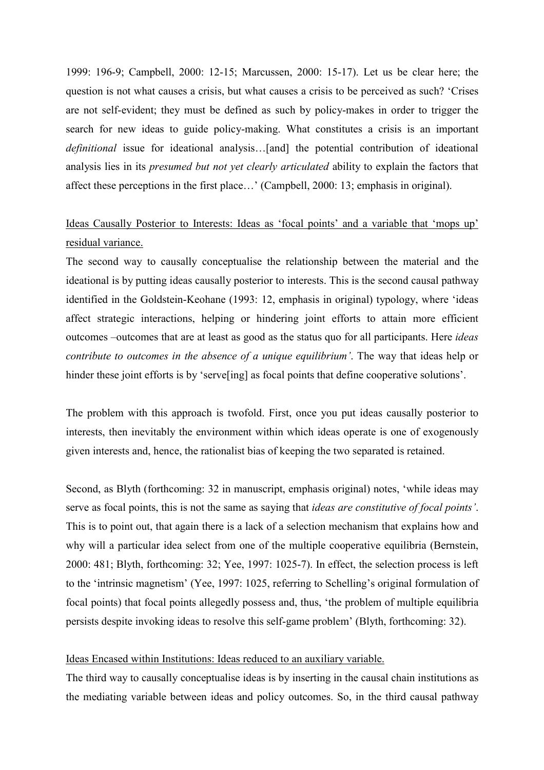1999: 196-9; Campbell, 2000: 12-15; Marcussen, 2000: 15-17). Let us be clear here; the question is not what causes a crisis, but what causes a crisis to be perceived as such? 'Crises are not self-evident; they must be defined as such by policy-makes in order to trigger the search for new ideas to guide policy-making. What constitutes a crisis is an important *definitional* issue for ideational analysis…[and] the potential contribution of ideational analysis lies in its *presumed but not yet clearly articulated* ability to explain the factors that affect these perceptions in the first place…' (Campbell, 2000: 13; emphasis in original).

# Ideas Causally Posterior to Interests: Ideas as 'focal points' and a variable that 'mops up' residual variance.

The second way to causally conceptualise the relationship between the material and the ideational is by putting ideas causally posterior to interests. This is the second causal pathway identified in the Goldstein-Keohane (1993: 12, emphasis in original) typology, where 'ideas affect strategic interactions, helping or hindering joint efforts to attain more efficient outcomes –outcomes that are at least as good as the status quo for all participants. Here *ideas contribute to outcomes in the absence of a unique equilibrium'*. The way that ideas help or hinder these joint efforts is by 'serve<sup>[ing]</sup> as focal points that define cooperative solutions'.

The problem with this approach is twofold. First, once you put ideas causally posterior to interests, then inevitably the environment within which ideas operate is one of exogenously given interests and, hence, the rationalist bias of keeping the two separated is retained.

Second, as Blyth (forthcoming: 32 in manuscript, emphasis original) notes, 'while ideas may serve as focal points, this is not the same as saying that *ideas are constitutive of focal points'*. This is to point out, that again there is a lack of a selection mechanism that explains how and why will a particular idea select from one of the multiple cooperative equilibria (Bernstein, 2000: 481; Blyth, forthcoming: 32; Yee, 1997: 1025-7). In effect, the selection process is left to the 'intrinsic magnetism' (Yee, 1997: 1025, referring to Schelling's original formulation of focal points) that focal points allegedly possess and, thus, 'the problem of multiple equilibria persists despite invoking ideas to resolve this self-game problem' (Blyth, forthcoming: 32).

## Ideas Encased within Institutions: Ideas reduced to an auxiliary variable.

The third way to causally conceptualise ideas is by inserting in the causal chain institutions as the mediating variable between ideas and policy outcomes. So, in the third causal pathway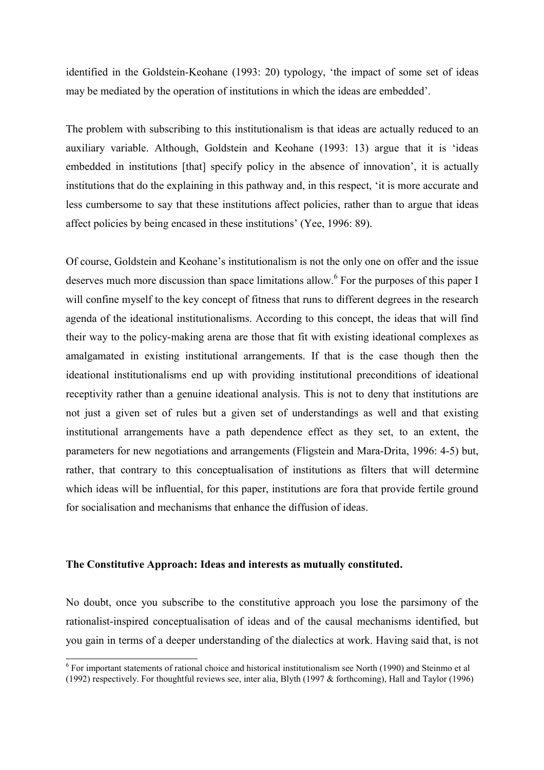identified in the Goldstein-Keohane (1993: 20) typology, 'the impact of some set of ideas may be mediated by the operation of institutions in which the ideas are embedded'.

The problem with subscribing to this institutionalism is that ideas are actually reduced to an auxiliary variable. Although, Goldstein and Keohane (1993: 13) argue that it is 'ideas embedded in institutions [that] specify policy in the absence of innovation', it is actually institutions that do the explaining in this pathway and, in this respect, 'it is more accurate and less cumbersome to say that these institutions affect policies, rather than to argue that ideas affect policies by being encased in these institutions' (Yee, 1996: 89).

Of course, Goldstein and Keohane's institutionalism is not the only one on offer and the issue deserves much more discussion than space limitations allow.<sup>6</sup> For the purposes of this paper I will confine myself to the key concept of fitness that runs to different degrees in the research agenda of the ideational institutionalisms. According to this concept, the ideas that will find their way to the policy-making arena are those that fit with existing ideational complexes as amalgamated in existing institutional arrangements. If that is the case though then the ideational institutionalisms end up with providing institutional preconditions of ideational receptivity rather than a genuine ideational analysis. This is not to deny that institutions are not just a given set of rules but a given set of understandings as well and that existing institutional arrangements have a path dependence effect as they set, to an extent, the parameters for new negotiations and arrangements (Fligstein and Mara-Drita, 1996: 4-5) but, rather, that contrary to this conceptualisation of institutions as filters that will determine which ideas will be influential, for this paper, institutions are fora that provide fertile ground for socialisation and mechanisms that enhance the diffusion of ideas.

# **The Constitutive Approach: Ideas and interests as mutually constituted.**

l

No doubt, once you subscribe to the constitutive approach you lose the parsimony of the rationalist-inspired conceptualisation of ideas and of the causal mechanisms identified, but you gain in terms of a deeper understanding of the dialectics at work. Having said that, is not

<sup>&</sup>lt;sup>6</sup> For important statements of rational choice and historical institutionalism see North (1990) and Steinmo et al (1992) respectively. For thoughtful reviews see, inter alia, Blyth (1997 & forthcoming), Hall and Taylor (1996)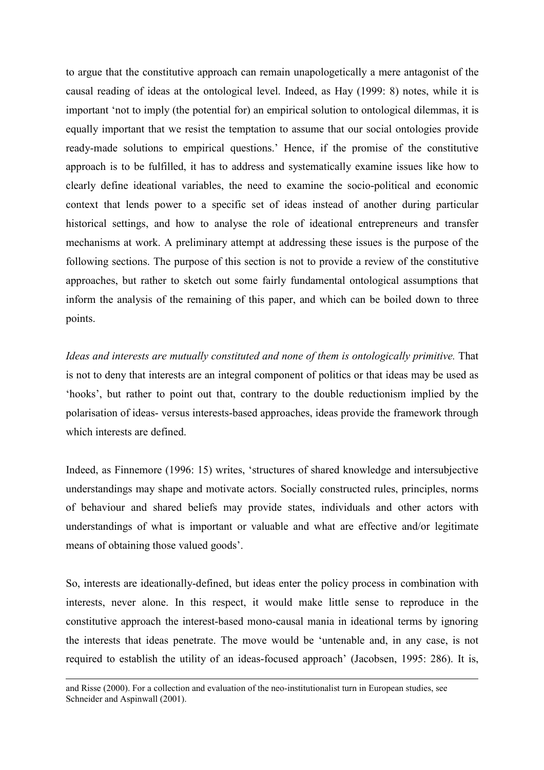to argue that the constitutive approach can remain unapologetically a mere antagonist of the causal reading of ideas at the ontological level. Indeed, as Hay (1999: 8) notes, while it is important 'not to imply (the potential for) an empirical solution to ontological dilemmas, it is equally important that we resist the temptation to assume that our social ontologies provide ready-made solutions to empirical questions.' Hence, if the promise of the constitutive approach is to be fulfilled, it has to address and systematically examine issues like how to clearly define ideational variables, the need to examine the socio-political and economic context that lends power to a specific set of ideas instead of another during particular historical settings, and how to analyse the role of ideational entrepreneurs and transfer mechanisms at work. A preliminary attempt at addressing these issues is the purpose of the following sections. The purpose of this section is not to provide a review of the constitutive approaches, but rather to sketch out some fairly fundamental ontological assumptions that inform the analysis of the remaining of this paper, and which can be boiled down to three points.

*Ideas and interests are mutually constituted and none of them is ontologically primitive.* That is not to deny that interests are an integral component of politics or that ideas may be used as 'hooks', but rather to point out that, contrary to the double reductionism implied by the polarisation of ideas- versus interests-based approaches, ideas provide the framework through which interests are defined.

Indeed, as Finnemore (1996: 15) writes, 'structures of shared knowledge and intersubjective understandings may shape and motivate actors. Socially constructed rules, principles, norms of behaviour and shared beliefs may provide states, individuals and other actors with understandings of what is important or valuable and what are effective and/or legitimate means of obtaining those valued goods'.

So, interests are ideationally-defined, but ideas enter the policy process in combination with interests, never alone. In this respect, it would make little sense to reproduce in the constitutive approach the interest-based mono-causal mania in ideational terms by ignoring the interests that ideas penetrate. The move would be 'untenable and, in any case, is not required to establish the utility of an ideas-focused approach' (Jacobsen, 1995: 286). It is,

 $\overline{a}$ 

and Risse (2000). For a collection and evaluation of the neo-institutionalist turn in European studies, see Schneider and Aspinwall (2001).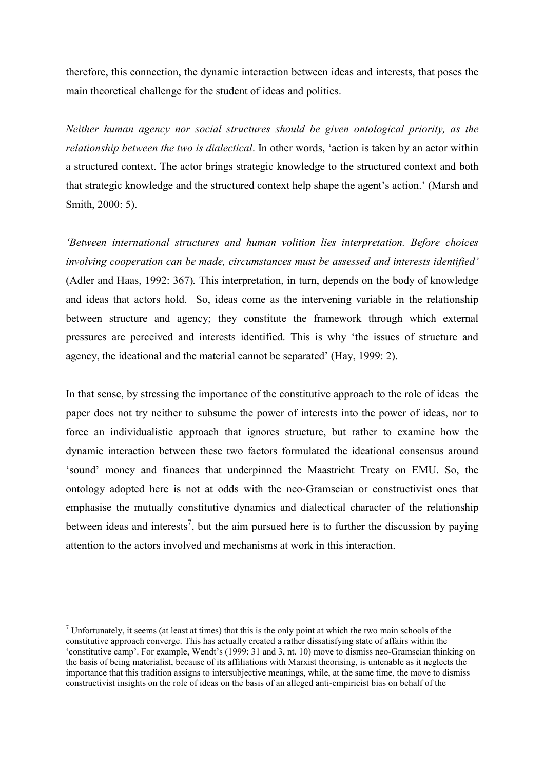therefore, this connection, the dynamic interaction between ideas and interests, that poses the main theoretical challenge for the student of ideas and politics.

*Neither human agency nor social structures should be given ontological priority, as the relationship between the two is dialectical*. In other words, 'action is taken by an actor within a structured context. The actor brings strategic knowledge to the structured context and both that strategic knowledge and the structured context help shape the agent's action.' (Marsh and Smith, 2000: 5).

*'Between international structures and human volition lies interpretation. Before choices involving cooperation can be made, circumstances must be assessed and interests identified'*  (Adler and Haas, 1992: 367)*.* This interpretation, in turn, depends on the body of knowledge and ideas that actors hold.So, ideas come as the intervening variable in the relationship between structure and agency; they constitute the framework through which external pressures are perceived and interests identified. This is why 'the issues of structure and agency, the ideational and the material cannot be separated' (Hay, 1999: 2).

In that sense, by stressing the importance of the constitutive approach to the role of ideas the paper does not try neither to subsume the power of interests into the power of ideas, nor to force an individualistic approach that ignores structure, but rather to examine how the dynamic interaction between these two factors formulated the ideational consensus around 'sound' money and finances that underpinned the Maastricht Treaty on EMU. So, the ontology adopted here is not at odds with the neo-Gramscian or constructivist ones that emphasise the mutually constitutive dynamics and dialectical character of the relationship between ideas and interests<sup>7</sup>, but the aim pursued here is to further the discussion by paying attention to the actors involved and mechanisms at work in this interaction.

 $\overline{\phantom{a}}$ 

<sup>&</sup>lt;sup>7</sup> Unfortunately, it seems (at least at times) that this is the only point at which the two main schools of the constitutive approach converge. This has actually created a rather dissatisfying state of affairs within the 'constitutive camp'. For example, Wendt's (1999: 31 and 3, nt. 10) move to dismiss neo-Gramscian thinking on the basis of being materialist, because of its affiliations with Marxist theorising, is untenable as it neglects the importance that this tradition assigns to intersubjective meanings, while, at the same time, the move to dismiss constructivist insights on the role of ideas on the basis of an alleged anti-empiricist bias on behalf of the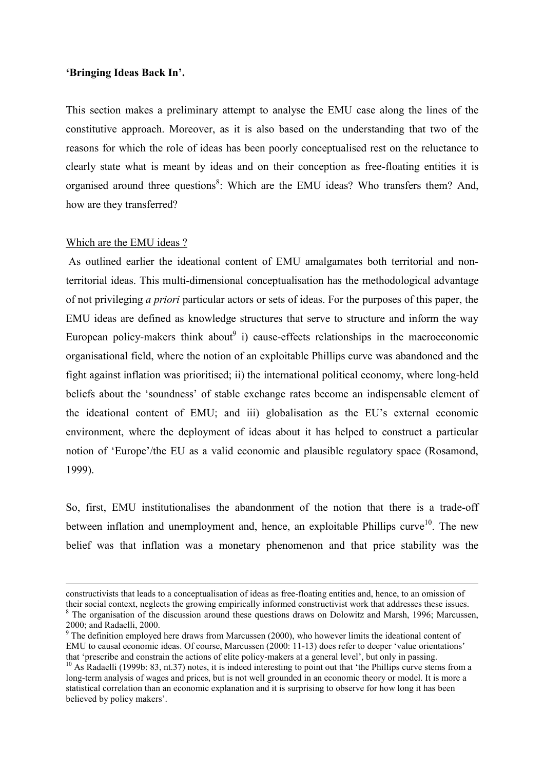# **'Bringing Ideas Back In'.**

This section makes a preliminary attempt to analyse the EMU case along the lines of the constitutive approach. Moreover, as it is also based on the understanding that two of the reasons for which the role of ideas has been poorly conceptualised rest on the reluctance to clearly state what is meant by ideas and on their conception as free-floating entities it is organised around three questions<sup>8</sup>: Which are the EMU ideas? Who transfers them? And, how are they transferred?

#### Which are the EMU ideas ?

l

 As outlined earlier the ideational content of EMU amalgamates both territorial and nonterritorial ideas. This multi-dimensional conceptualisation has the methodological advantage of not privileging *a priori* particular actors or sets of ideas. For the purposes of this paper, the EMU ideas are defined as knowledge structures that serve to structure and inform the way European policy-makers think about i) cause-effects relationships in the macroeconomic organisational field, where the notion of an exploitable Phillips curve was abandoned and the fight against inflation was prioritised; ii) the international political economy, where long-held beliefs about the 'soundness' of stable exchange rates become an indispensable element of the ideational content of EMU; and iii) globalisation as the EU's external economic environment, where the deployment of ideas about it has helped to construct a particular notion of 'Europe'/the EU as a valid economic and plausible regulatory space (Rosamond, 1999).

So, first, EMU institutionalises the abandonment of the notion that there is a trade-off between inflation and unemployment and, hence, an exploitable Phillips curve<sup>10</sup>. The new belief was that inflation was a monetary phenomenon and that price stability was the

constructivists that leads to a conceptualisation of ideas as free-floating entities and, hence, to an omission of their social context, neglects the growing empirically informed constructivist work that addresses these issues. <sup>8</sup> The organisation of the discussion around these questions draws on Dolowitz and Marsh, 1996; Marcussen, 2000; and Radaelli, 2000.

 $9$  The definition employed here draws from Marcussen (2000), who however limits the ideational content of EMU to causal economic ideas. Of course, Marcussen (2000: 11-13) does refer to deeper 'value orientations' that 'prescribe and constrain the actions of elite policy-makers at a general level', but only in passing.

<sup>&</sup>lt;sup>10</sup> As Radaelli (1999b: 83, nt.37) notes, it is indeed interesting to point out that 'the Phillips curve stems from a long-term analysis of wages and prices, but is not well grounded in an economic theory or model. It is more a statistical correlation than an economic explanation and it is surprising to observe for how long it has been believed by policy makers'.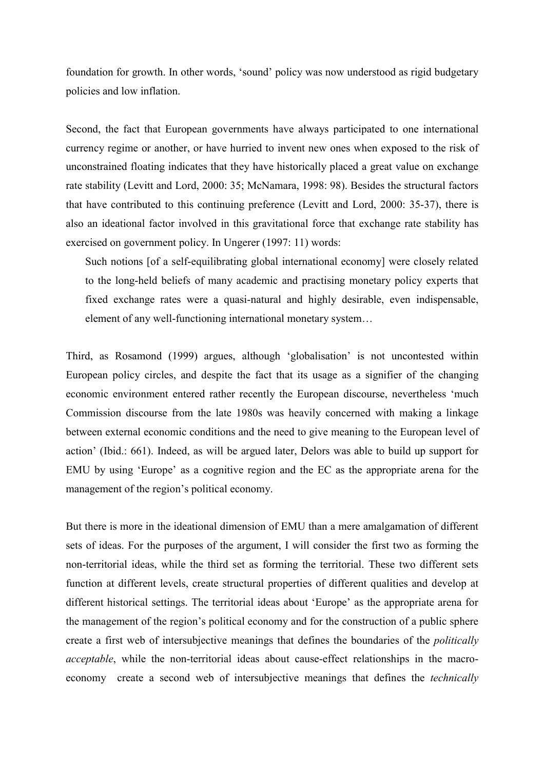foundation for growth. In other words, 'sound' policy was now understood as rigid budgetary policies and low inflation.

Second, the fact that European governments have always participated to one international currency regime or another, or have hurried to invent new ones when exposed to the risk of unconstrained floating indicates that they have historically placed a great value on exchange rate stability (Levitt and Lord, 2000: 35; McNamara, 1998: 98). Besides the structural factors that have contributed to this continuing preference (Levitt and Lord, 2000: 35-37), there is also an ideational factor involved in this gravitational force that exchange rate stability has exercised on government policy. In Ungerer (1997: 11) words:

Such notions [of a self-equilibrating global international economy] were closely related to the long-held beliefs of many academic and practising monetary policy experts that fixed exchange rates were a quasi-natural and highly desirable, even indispensable, element of any well-functioning international monetary system…

Third, as Rosamond (1999) argues, although 'globalisation' is not uncontested within European policy circles, and despite the fact that its usage as a signifier of the changing economic environment entered rather recently the European discourse, nevertheless 'much Commission discourse from the late 1980s was heavily concerned with making a linkage between external economic conditions and the need to give meaning to the European level of action' (Ibid.: 661). Indeed, as will be argued later, Delors was able to build up support for EMU by using 'Europe' as a cognitive region and the EC as the appropriate arena for the management of the region's political economy.

But there is more in the ideational dimension of EMU than a mere amalgamation of different sets of ideas. For the purposes of the argument, I will consider the first two as forming the non-territorial ideas, while the third set as forming the territorial. These two different sets function at different levels, create structural properties of different qualities and develop at different historical settings. The territorial ideas about 'Europe' as the appropriate arena for the management of the region's political economy and for the construction of a public sphere create a first web of intersubjective meanings that defines the boundaries of the *politically acceptable*, while the non-territorial ideas about cause-effect relationships in the macroeconomy create a second web of intersubjective meanings that defines the *technically*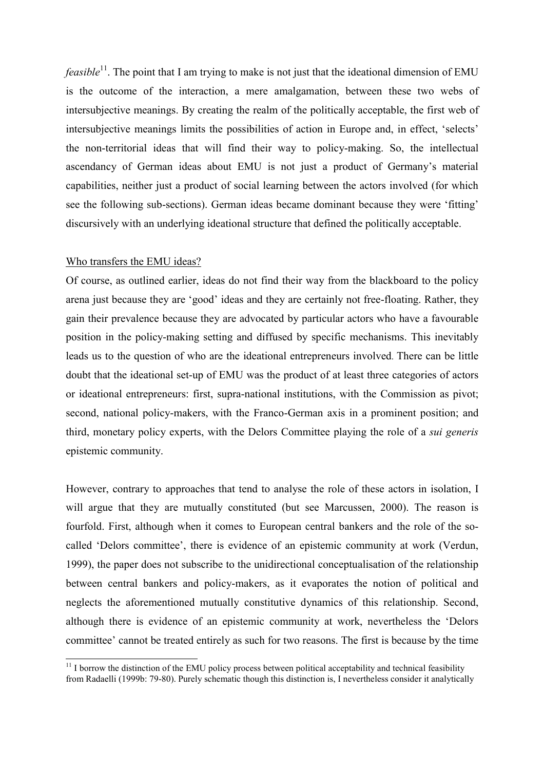*feasible*<sup>11</sup>. The point that I am trying to make is not just that the ideational dimension of EMU is the outcome of the interaction, a mere amalgamation, between these two webs of intersubjective meanings. By creating the realm of the politically acceptable, the first web of intersubjective meanings limits the possibilities of action in Europe and, in effect, 'selects' the non-territorial ideas that will find their way to policy-making. So, the intellectual ascendancy of German ideas about EMU is not just a product of Germany's material capabilities, neither just a product of social learning between the actors involved (for which see the following sub-sections). German ideas became dominant because they were 'fitting' discursively with an underlying ideational structure that defined the politically acceptable.

#### Who transfers the EMU ideas?

l

Of course, as outlined earlier, ideas do not find their way from the blackboard to the policy arena just because they are 'good' ideas and they are certainly not free-floating. Rather, they gain their prevalence because they are advocated by particular actors who have a favourable position in the policy-making setting and diffused by specific mechanisms. This inevitably leads us to the question of who are the ideational entrepreneurs involved. There can be little doubt that the ideational set-up of EMU was the product of at least three categories of actors or ideational entrepreneurs: first, supra-national institutions, with the Commission as pivot; second, national policy-makers, with the Franco-German axis in a prominent position; and third, monetary policy experts, with the Delors Committee playing the role of a *sui generis* epistemic community.

However, contrary to approaches that tend to analyse the role of these actors in isolation, I will argue that they are mutually constituted (but see Marcussen, 2000). The reason is fourfold. First, although when it comes to European central bankers and the role of the socalled 'Delors committee', there is evidence of an epistemic community at work (Verdun, 1999), the paper does not subscribe to the unidirectional conceptualisation of the relationship between central bankers and policy-makers, as it evaporates the notion of political and neglects the aforementioned mutually constitutive dynamics of this relationship. Second, although there is evidence of an epistemic community at work, nevertheless the 'Delors committee' cannot be treated entirely as such for two reasons. The first is because by the time

 $11$  I borrow the distinction of the EMU policy process between political acceptability and technical feasibility from Radaelli (1999b: 79-80). Purely schematic though this distinction is, I nevertheless consider it analytically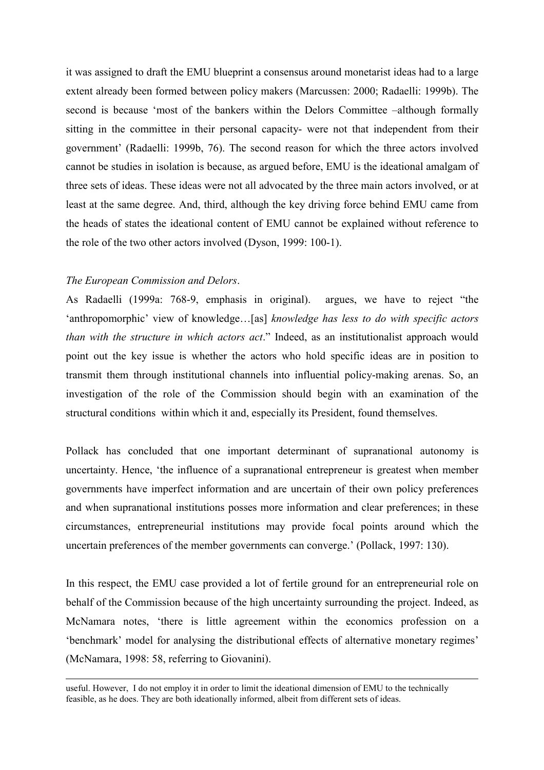it was assigned to draft the EMU blueprint a consensus around monetarist ideas had to a large extent already been formed between policy makers (Marcussen: 2000; Radaelli: 1999b). The second is because 'most of the bankers within the Delors Committee –although formally sitting in the committee in their personal capacity- were not that independent from their government' (Radaelli: 1999b, 76). The second reason for which the three actors involved cannot be studies in isolation is because, as argued before, EMU is the ideational amalgam of three sets of ideas. These ideas were not all advocated by the three main actors involved, or at least at the same degree. And, third, although the key driving force behind EMU came from the heads of states the ideational content of EMU cannot be explained without reference to the role of the two other actors involved (Dyson, 1999: 100-1).

## *The European Commission and Delors*.

 $\overline{a}$ 

As Radaelli (1999a: 768-9, emphasis in original). argues, we have to reject "the 'anthropomorphic' view of knowledge…[as] *knowledge has less to do with specific actors than with the structure in which actors act*." Indeed, as an institutionalist approach would point out the key issue is whether the actors who hold specific ideas are in position to transmit them through institutional channels into influential policy-making arenas. So, an investigation of the role of the Commission should begin with an examination of the structural conditions within which it and, especially its President, found themselves.

Pollack has concluded that one important determinant of supranational autonomy is uncertainty. Hence, 'the influence of a supranational entrepreneur is greatest when member governments have imperfect information and are uncertain of their own policy preferences and when supranational institutions posses more information and clear preferences; in these circumstances, entrepreneurial institutions may provide focal points around which the uncertain preferences of the member governments can converge.' (Pollack, 1997: 130).

In this respect, the EMU case provided a lot of fertile ground for an entrepreneurial role on behalf of the Commission because of the high uncertainty surrounding the project. Indeed, as McNamara notes, 'there is little agreement within the economics profession on a 'benchmark' model for analysing the distributional effects of alternative monetary regimes' (McNamara, 1998: 58, referring to Giovanini).

useful. However, I do not employ it in order to limit the ideational dimension of EMU to the technically feasible, as he does. They are both ideationally informed, albeit from different sets of ideas.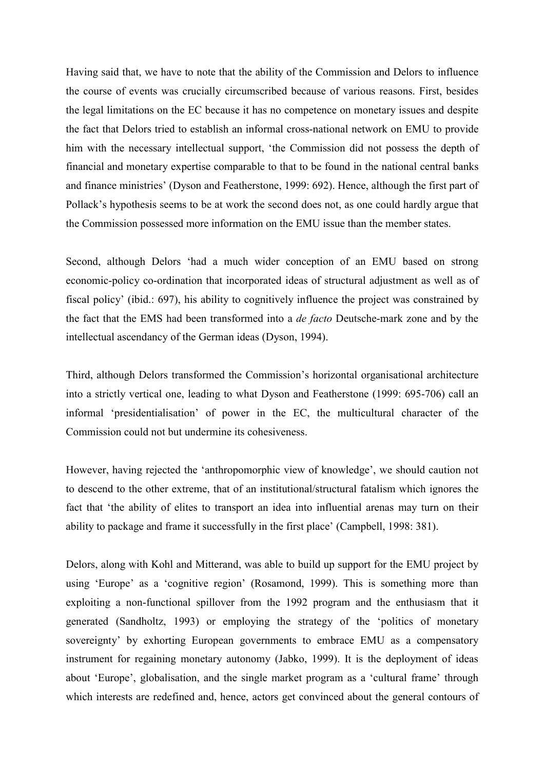Having said that, we have to note that the ability of the Commission and Delors to influence the course of events was crucially circumscribed because of various reasons. First, besides the legal limitations on the EC because it has no competence on monetary issues and despite the fact that Delors tried to establish an informal cross-national network on EMU to provide him with the necessary intellectual support, 'the Commission did not possess the depth of financial and monetary expertise comparable to that to be found in the national central banks and finance ministries' (Dyson and Featherstone, 1999: 692). Hence, although the first part of Pollack's hypothesis seems to be at work the second does not, as one could hardly argue that the Commission possessed more information on the EMU issue than the member states.

Second, although Delors 'had a much wider conception of an EMU based on strong economic-policy co-ordination that incorporated ideas of structural adjustment as well as of fiscal policy' (ibid.: 697), his ability to cognitively influence the project was constrained by the fact that the EMS had been transformed into a *de facto* Deutsche-mark zone and by the intellectual ascendancy of the German ideas (Dyson, 1994).

Third, although Delors transformed the Commission's horizontal organisational architecture into a strictly vertical one, leading to what Dyson and Featherstone (1999: 695-706) call an informal 'presidentialisation' of power in the EC, the multicultural character of the Commission could not but undermine its cohesiveness.

However, having rejected the 'anthropomorphic view of knowledge', we should caution not to descend to the other extreme, that of an institutional/structural fatalism which ignores the fact that 'the ability of elites to transport an idea into influential arenas may turn on their ability to package and frame it successfully in the first place' (Campbell, 1998: 381).

Delors, along with Kohl and Mitterand, was able to build up support for the EMU project by using 'Europe' as a 'cognitive region' (Rosamond, 1999). This is something more than exploiting a non-functional spillover from the 1992 program and the enthusiasm that it generated (Sandholtz, 1993) or employing the strategy of the 'politics of monetary sovereignty' by exhorting European governments to embrace EMU as a compensatory instrument for regaining monetary autonomy (Jabko, 1999). It is the deployment of ideas about 'Europe', globalisation, and the single market program as a 'cultural frame' through which interests are redefined and, hence, actors get convinced about the general contours of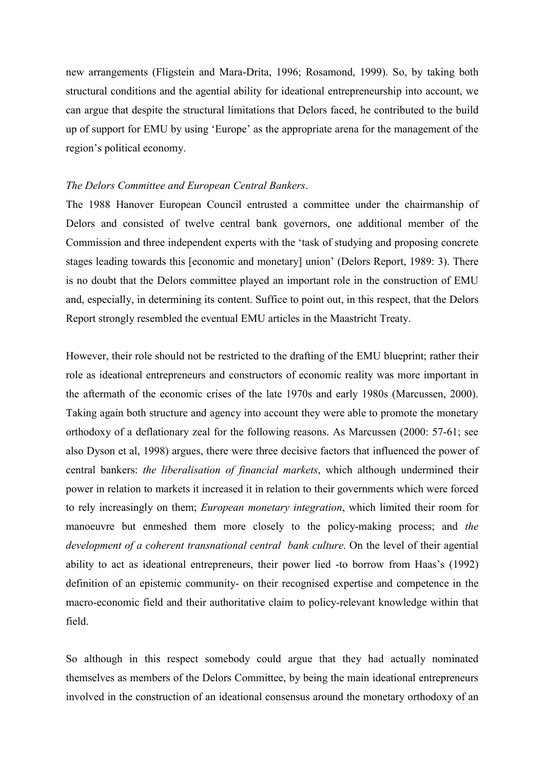new arrangements (Fligstein and Mara-Drita, 1996; Rosamond, 1999). So, by taking both structural conditions and the agential ability for ideational entrepreneurship into account, we can argue that despite the structural limitations that Delors faced, he contributed to the build up of support for EMU by using 'Europe' as the appropriate arena for the management of the region's political economy.

# *The Delors Committee and European Central Bankers*.

The 1988 Hanover European Council entrusted a committee under the chairmanship of Delors and consisted of twelve central bank governors, one additional member of the Commission and three independent experts with the 'task of studying and proposing concrete stages leading towards this [economic and monetary] union' (Delors Report, 1989: 3). There is no doubt that the Delors committee played an important role in the construction of EMU and, especially, in determining its content. Suffice to point out, in this respect, that the Delors Report strongly resembled the eventual EMU articles in the Maastricht Treaty.

However, their role should not be restricted to the drafting of the EMU blueprint; rather their role as ideational entrepreneurs and constructors of economic reality was more important in the aftermath of the economic crises of the late 1970s and early 1980s (Marcussen, 2000). Taking again both structure and agency into account they were able to promote the monetary orthodoxy of a deflationary zeal for the following reasons. As Marcussen (2000: 57-61; see also Dyson et al, 1998) argues, there were three decisive factors that influenced the power of central bankers: *the liberalisation of financial markets*, which although undermined their power in relation to markets it increased it in relation to their governments which were forced to rely increasingly on them; *European monetary integration*, which limited their room for manoeuvre but enmeshed them more closely to the policy-making process; and *the development of a coherent transnational central bank culture*. On the level of their agential ability to act as ideational entrepreneurs, their power lied -to borrow from Haas's (1992) definition of an epistemic community- on their recognised expertise and competence in the macro-economic field and their authoritative claim to policy-relevant knowledge within that field.

So although in this respect somebody could argue that they had actually nominated themselves as members of the Delors Committee, by being the main ideational entrepreneurs involved in the construction of an ideational consensus around the monetary orthodoxy of an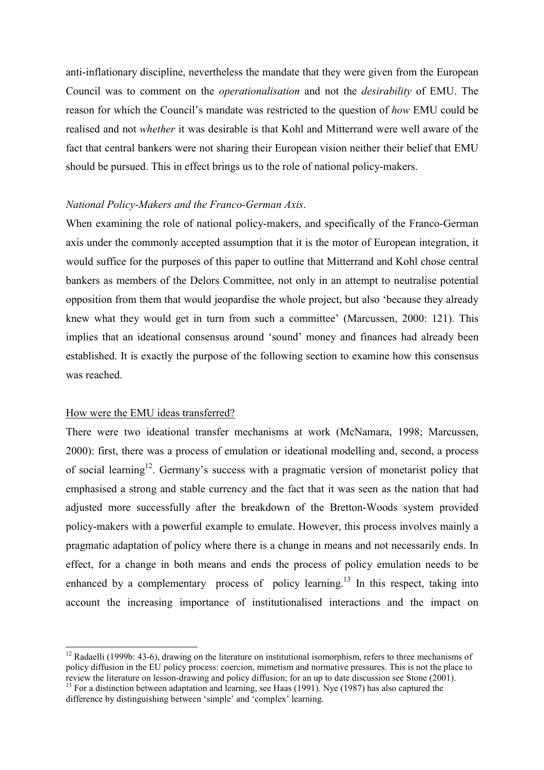anti-inflationary discipline, nevertheless the mandate that they were given from the European Council was to comment on the *operationalisation* and not the *desirability* of EMU. The reason for which the Council's mandate was restricted to the question of *how* EMU could be realised and not *whether* it was desirable is that Kohl and Mitterrand were well aware of the fact that central bankers were not sharing their European vision neither their belief that EMU should be pursued. This in effect brings us to the role of national policy-makers.

# *National Policy-Makers and the Franco-German Axis*.

When examining the role of national policy-makers, and specifically of the Franco-German axis under the commonly accepted assumption that it is the motor of European integration, it would suffice for the purposes of this paper to outline that Mitterrand and Kohl chose central bankers as members of the Delors Committee, not only in an attempt to neutralise potential opposition from them that would jeopardise the whole project, but also 'because they already knew what they would get in turn from such a committee' (Marcussen, 2000: 121). This implies that an ideational consensus around 'sound' money and finances had already been established. It is exactly the purpose of the following section to examine how this consensus was reached.

#### How were the EMU ideas transferred?

l

There were two ideational transfer mechanisms at work (McNamara, 1998; Marcussen, 2000): first, there was a process of emulation or ideational modelling and, second, a process of social learning<sup>12</sup>. Germany's success with a pragmatic version of monetarist policy that emphasised a strong and stable currency and the fact that it was seen as the nation that had adjusted more successfully after the breakdown of the Bretton-Woods system provided policy-makers with a powerful example to emulate. However, this process involves mainly a pragmatic adaptation of policy where there is a change in means and not necessarily ends. In effect, for a change in both means and ends the process of policy emulation needs to be enhanced by a complementary process of policy learning.<sup>13</sup> In this respect, taking into account the increasing importance of institutionalised interactions and the impact on

 $12$  Radaelli (1999b: 43-6), drawing on the literature on institutional isomorphism, refers to three mechanisms of policy diffusion in the EU policy process: coercion, mimetism and normative pressures. This is not the place to review the literature on lesson-drawing and policy diffusion; for an up to date discussion see Stone (2001).

<sup>&</sup>lt;sup>13</sup> For a distinction between adaptation and learning, see Haas (1991). Nye (1987) has also captured the difference by distinguishing between 'simple' and 'complex' learning.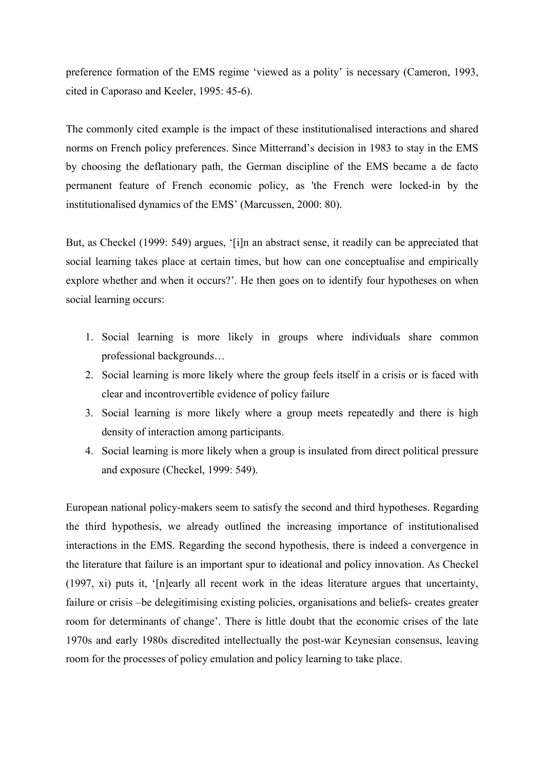preference formation of the EMS regime 'viewed as a polity' is necessary (Cameron, 1993, cited in Caporaso and Keeler, 1995: 45-6).

The commonly cited example is the impact of these institutionalised interactions and shared norms on French policy preferences. Since Mitterrand's decision in 1983 to stay in the EMS by choosing the deflationary path, the German discipline of the EMS became a de facto permanent feature of French economic policy, as 'the French were locked-in by the institutionalised dynamics of the EMS' (Marcussen, 2000: 80).

But, as Checkel (1999: 549) argues, '[i]n an abstract sense, it readily can be appreciated that social learning takes place at certain times, but how can one conceptualise and empirically explore whether and when it occurs?'. He then goes on to identify four hypotheses on when social learning occurs:

- 1. Social learning is more likely in groups where individuals share common professional backgrounds…
- 2. Social learning is more likely where the group feels itself in a crisis or is faced with clear and incontrovertible evidence of policy failure
- 3. Social learning is more likely where a group meets repeatedly and there is high density of interaction among participants.
- 4. Social learning is more likely when a group is insulated from direct political pressure and exposure (Checkel, 1999: 549).

European national policy-makers seem to satisfy the second and third hypotheses. Regarding the third hypothesis, we already outlined the increasing importance of institutionalised interactions in the EMS. Regarding the second hypothesis, there is indeed a convergence in the literature that failure is an important spur to ideational and policy innovation. As Checkel (1997, xi) puts it, '[n]early all recent work in the ideas literature argues that uncertainty, failure or crisis –be delegitimising existing policies, organisations and beliefs- creates greater room for determinants of change'. There is little doubt that the economic crises of the late 1970s and early 1980s discredited intellectually the post-war Keynesian consensus, leaving room for the processes of policy emulation and policy learning to take place.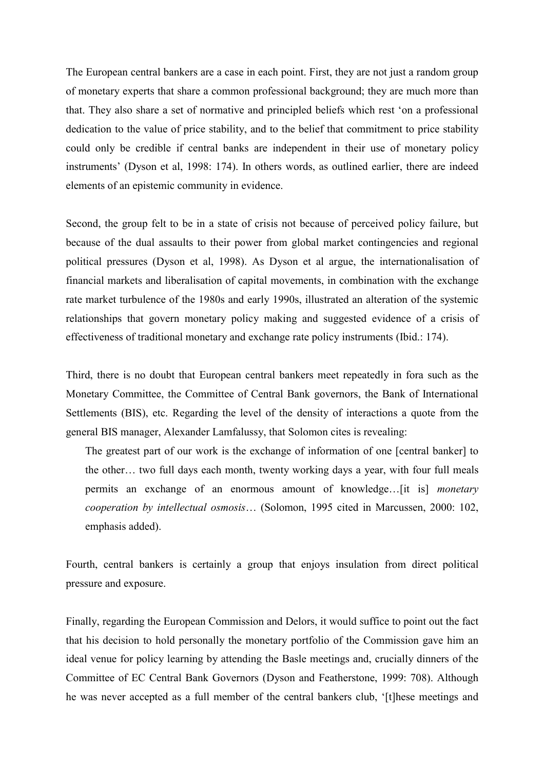The European central bankers are a case in each point. First, they are not just a random group of monetary experts that share a common professional background; they are much more than that. They also share a set of normative and principled beliefs which rest 'on a professional dedication to the value of price stability, and to the belief that commitment to price stability could only be credible if central banks are independent in their use of monetary policy instruments' (Dyson et al, 1998: 174). In others words, as outlined earlier, there are indeed elements of an epistemic community in evidence.

Second, the group felt to be in a state of crisis not because of perceived policy failure, but because of the dual assaults to their power from global market contingencies and regional political pressures (Dyson et al, 1998). As Dyson et al argue, the internationalisation of financial markets and liberalisation of capital movements, in combination with the exchange rate market turbulence of the 1980s and early 1990s, illustrated an alteration of the systemic relationships that govern monetary policy making and suggested evidence of a crisis of effectiveness of traditional monetary and exchange rate policy instruments (Ibid.: 174).

Third, there is no doubt that European central bankers meet repeatedly in fora such as the Monetary Committee, the Committee of Central Bank governors, the Bank of International Settlements (BIS), etc. Regarding the level of the density of interactions a quote from the general BIS manager, Alexander Lamfalussy, that Solomon cites is revealing:

The greatest part of our work is the exchange of information of one [central banker] to the other… two full days each month, twenty working days a year, with four full meals permits an exchange of an enormous amount of knowledge…[it is] *monetary cooperation by intellectual osmosis*… (Solomon, 1995 cited in Marcussen, 2000: 102, emphasis added).

Fourth, central bankers is certainly a group that enjoys insulation from direct political pressure and exposure.

Finally, regarding the European Commission and Delors, it would suffice to point out the fact that his decision to hold personally the monetary portfolio of the Commission gave him an ideal venue for policy learning by attending the Basle meetings and, crucially dinners of the Committee of EC Central Bank Governors (Dyson and Featherstone, 1999: 708). Although he was never accepted as a full member of the central bankers club, '[t]hese meetings and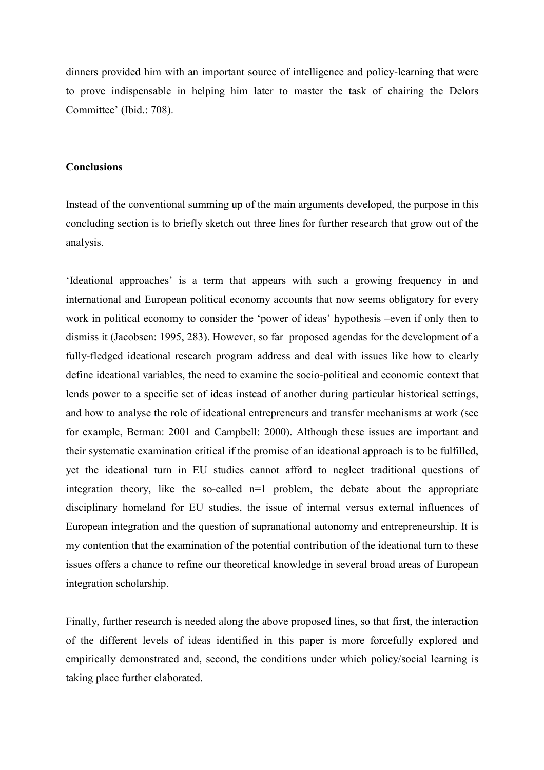dinners provided him with an important source of intelligence and policy-learning that were to prove indispensable in helping him later to master the task of chairing the Delors Committee' (Ibid.: 708).

# **Conclusions**

Instead of the conventional summing up of the main arguments developed, the purpose in this concluding section is to briefly sketch out three lines for further research that grow out of the analysis.

'Ideational approaches' is a term that appears with such a growing frequency in and international and European political economy accounts that now seems obligatory for every work in political economy to consider the 'power of ideas' hypothesis –even if only then to dismiss it (Jacobsen: 1995, 283). However, so far proposed agendas for the development of a fully-fledged ideational research program address and deal with issues like how to clearly define ideational variables, the need to examine the socio-political and economic context that lends power to a specific set of ideas instead of another during particular historical settings, and how to analyse the role of ideational entrepreneurs and transfer mechanisms at work (see for example, Berman: 2001 and Campbell: 2000). Although these issues are important and their systematic examination critical if the promise of an ideational approach is to be fulfilled, yet the ideational turn in EU studies cannot afford to neglect traditional questions of integration theory, like the so-called n=1 problem, the debate about the appropriate disciplinary homeland for EU studies, the issue of internal versus external influences of European integration and the question of supranational autonomy and entrepreneurship. It is my contention that the examination of the potential contribution of the ideational turn to these issues offers a chance to refine our theoretical knowledge in several broad areas of European integration scholarship.

Finally, further research is needed along the above proposed lines, so that first, the interaction of the different levels of ideas identified in this paper is more forcefully explored and empirically demonstrated and, second, the conditions under which policy/social learning is taking place further elaborated.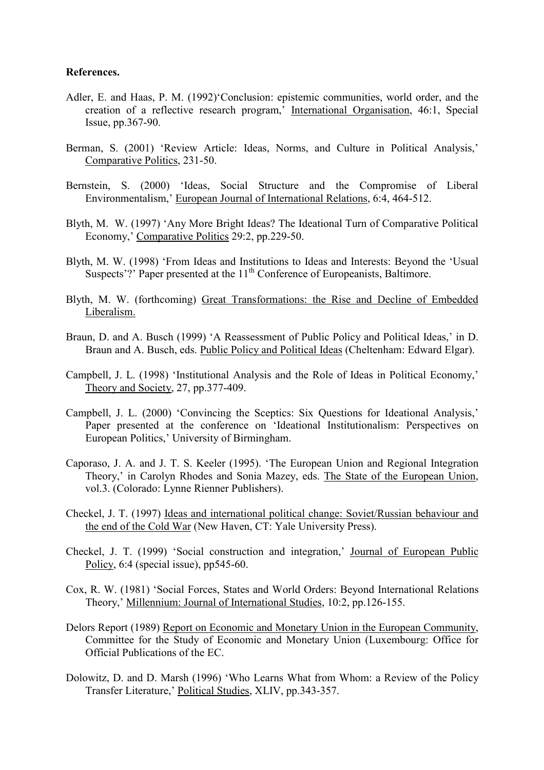# **References.**

- Adler, E. and Haas, P. M. (1992)'Conclusion: epistemic communities, world order, and the creation of a reflective research program,' International Organisation, 46:1, Special Issue, pp.367-90.
- Berman, S. (2001) 'Review Article: Ideas, Norms, and Culture in Political Analysis,' Comparative Politics, 231-50.
- Bernstein, S. (2000) 'Ideas, Social Structure and the Compromise of Liberal Environmentalism,' European Journal of International Relations, 6:4, 464-512.
- Blyth, M. W. (1997) 'Any More Bright Ideas? The Ideational Turn of Comparative Political Economy,' Comparative Politics 29:2, pp.229-50.
- Blyth, M. W. (1998) 'From Ideas and Institutions to Ideas and Interests: Beyond the 'Usual Suspects'?' Paper presented at the  $11<sup>th</sup>$  Conference of Europeanists, Baltimore.
- Blyth, M. W. (forthcoming) Great Transformations: the Rise and Decline of Embedded Liberalism.
- Braun, D. and A. Busch (1999) 'A Reassessment of Public Policy and Political Ideas,' in D. Braun and A. Busch, eds. Public Policy and Political Ideas (Cheltenham: Edward Elgar).
- Campbell, J. L. (1998) 'Institutional Analysis and the Role of Ideas in Political Economy,' Theory and Society, 27, pp.377-409.
- Campbell, J. L. (2000) 'Convincing the Sceptics: Six Questions for Ideational Analysis,' Paper presented at the conference on 'Ideational Institutionalism: Perspectives on European Politics,' University of Birmingham.
- Caporaso, J. A. and J. T. S. Keeler (1995). 'The European Union and Regional Integration Theory,' in Carolyn Rhodes and Sonia Mazey, eds. The State of the European Union, vol.3. (Colorado: Lynne Rienner Publishers).
- Checkel, J. T. (1997) Ideas and international political change: Soviet/Russian behaviour and the end of the Cold War (New Haven, CT: Yale University Press).
- Checkel, J. T. (1999) 'Social construction and integration,' Journal of European Public Policy, 6:4 (special issue), pp545-60.
- Cox, R. W. (1981) 'Social Forces, States and World Orders: Beyond International Relations Theory,' Millennium: Journal of International Studies, 10:2, pp.126-155.
- Delors Report (1989) Report on Economic and Monetary Union in the European Community, Committee for the Study of Economic and Monetary Union (Luxembourg: Office for Official Publications of the EC.
- Dolowitz, D. and D. Marsh (1996) 'Who Learns What from Whom: a Review of the Policy Transfer Literature,' Political Studies, XLIV, pp.343-357.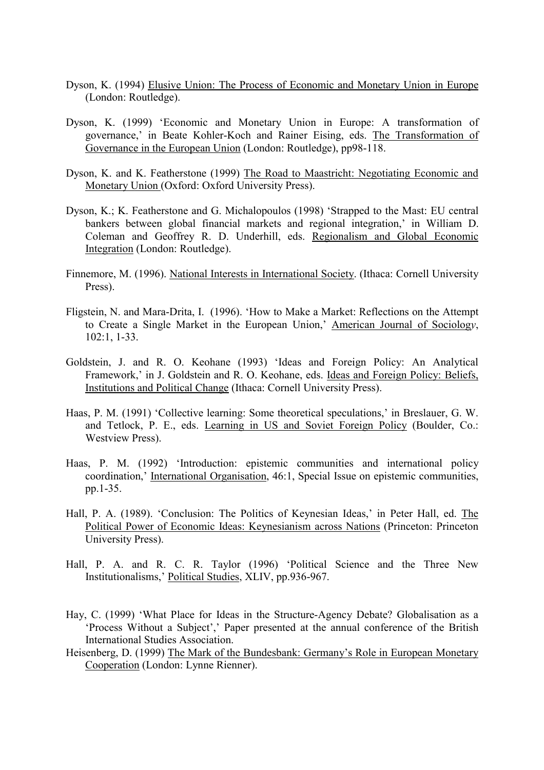- Dyson, K. (1994) Elusive Union: The Process of Economic and Monetary Union in Europe (London: Routledge).
- Dyson, K. (1999) 'Economic and Monetary Union in Europe: A transformation of governance,' in Beate Kohler-Koch and Rainer Eising, eds. The Transformation of Governance in the European Union (London: Routledge), pp98-118.
- Dyson, K. and K. Featherstone (1999) The Road to Maastricht: Negotiating Economic and Monetary Union (Oxford: Oxford University Press).
- Dyson, K.; K. Featherstone and G. Michalopoulos (1998) 'Strapped to the Mast: EU central bankers between global financial markets and regional integration,' in William D. Coleman and Geoffrey R. D. Underhill, eds. Regionalism and Global Economic Integration (London: Routledge).
- Finnemore, M. (1996). National Interests in International Society. (Ithaca: Cornell University Press).
- Fligstein, N. and Mara-Drita, I. (1996). 'How to Make a Market: Reflections on the Attempt to Create a Single Market in the European Union,' American Journal of Sociolog*y*, 102:1, 1-33.
- Goldstein, J. and R. O. Keohane (1993) 'Ideas and Foreign Policy: An Analytical Framework,' in J. Goldstein and R. O. Keohane, eds. Ideas and Foreign Policy: Beliefs, Institutions and Political Change (Ithaca: Cornell University Press).
- Haas, P. M. (1991) 'Collective learning: Some theoretical speculations,' in Breslauer, G. W. and Tetlock, P. E., eds. Learning in US and Soviet Foreign Policy (Boulder, Co.: Westview Press).
- Haas, P. M. (1992) 'Introduction: epistemic communities and international policy coordination,' International Organisation, 46:1, Special Issue on epistemic communities, pp.1-35.
- Hall, P. A. (1989). 'Conclusion: The Politics of Keynesian Ideas,' in Peter Hall, ed. The Political Power of Economic Ideas: Keynesianism across Nations (Princeton: Princeton University Press).
- Hall, P. A. and R. C. R. Taylor (1996) 'Political Science and the Three New Institutionalisms,' Political Studies, XLIV, pp.936-967.
- Hay, C. (1999) 'What Place for Ideas in the Structure-Agency Debate? Globalisation as a 'Process Without a Subject',' Paper presented at the annual conference of the British International Studies Association.
- Heisenberg, D. (1999) The Mark of the Bundesbank: Germany's Role in European Monetary Cooperation (London: Lynne Rienner).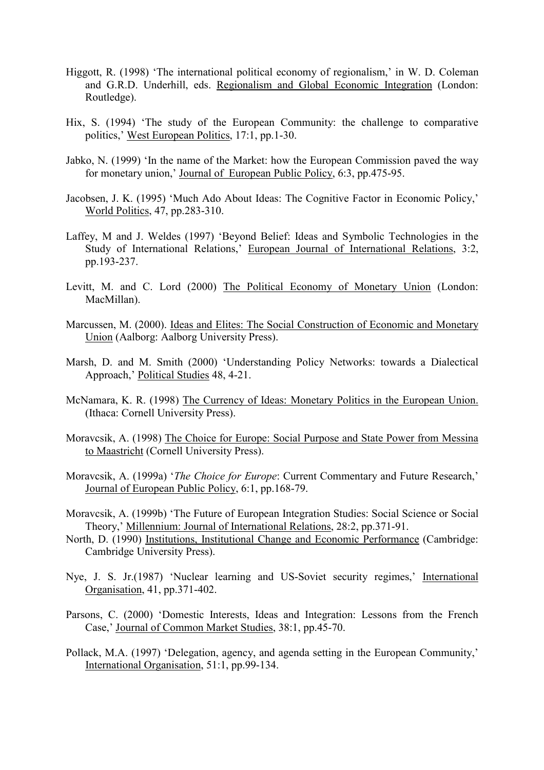- Higgott, R. (1998) 'The international political economy of regionalism,' in W. D. Coleman and G.R.D. Underhill, eds. Regionalism and Global Economic Integration (London: Routledge).
- Hix, S. (1994) 'The study of the European Community: the challenge to comparative politics,' West European Politics, 17:1, pp.1-30.
- Jabko, N. (1999) 'In the name of the Market: how the European Commission paved the way for monetary union,' Journal of European Public Policy, 6:3, pp.475-95.
- Jacobsen, J. K. (1995) 'Much Ado About Ideas: The Cognitive Factor in Economic Policy,' World Politics, 47, pp.283-310.
- Laffey, M and J. Weldes (1997) 'Beyond Belief: Ideas and Symbolic Technologies in the Study of International Relations,' European Journal of International Relations, 3:2, pp.193-237.
- Levitt, M. and C. Lord (2000) The Political Economy of Monetary Union (London: MacMillan).
- Marcussen, M. (2000). Ideas and Elites: The Social Construction of Economic and Monetary Union (Aalborg: Aalborg University Press).
- Marsh, D. and M. Smith (2000) 'Understanding Policy Networks: towards a Dialectical Approach,' Political Studies 48, 4-21.
- McNamara, K. R. (1998) The Currency of Ideas: Monetary Politics in the European Union. (Ithaca: Cornell University Press).
- Moravcsik, A. (1998) The Choice for Europe: Social Purpose and State Power from Messina to Maastricht (Cornell University Press).
- Moravcsik, A. (1999a) '*The Choice for Europe*: Current Commentary and Future Research,' Journal of European Public Policy, 6:1, pp.168-79.
- Moravcsik, A. (1999b) 'The Future of European Integration Studies: Social Science or Social Theory,' Millennium: Journal of International Relations, 28:2, pp.371-91.
- North, D. (1990) Institutions, Institutional Change and Economic Performance (Cambridge: Cambridge University Press).
- Nye, J. S. Jr.(1987) 'Nuclear learning and US-Soviet security regimes,' International Organisation, 41, pp.371-402.
- Parsons, C. (2000) 'Domestic Interests, Ideas and Integration: Lessons from the French Case,' Journal of Common Market Studies, 38:1, pp.45-70.
- Pollack, M.A. (1997) 'Delegation, agency, and agenda setting in the European Community,' International Organisation, 51:1, pp.99-134.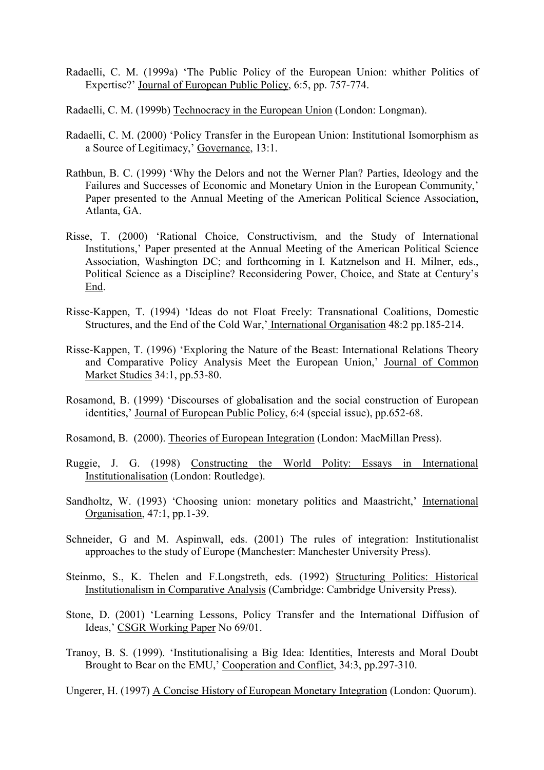- Radaelli, C. M. (1999a) 'The Public Policy of the European Union: whither Politics of Expertise?' Journal of European Public Policy, 6:5, pp. 757-774.
- Radaelli, C. M. (1999b) Technocracy in the European Union (London: Longman).
- Radaelli, C. M. (2000) 'Policy Transfer in the European Union: Institutional Isomorphism as a Source of Legitimacy,' Governance, 13:1.
- Rathbun, B. C. (1999) 'Why the Delors and not the Werner Plan? Parties, Ideology and the Failures and Successes of Economic and Monetary Union in the European Community,' Paper presented to the Annual Meeting of the American Political Science Association, Atlanta, GA.
- Risse, T. (2000) 'Rational Choice, Constructivism, and the Study of International Institutions,' Paper presented at the Annual Meeting of the American Political Science Association, Washington DC; and forthcoming in I. Katznelson and H. Milner, eds., Political Science as a Discipline? Reconsidering Power, Choice, and State at Century's End.
- Risse-Kappen, T. (1994) 'Ideas do not Float Freely: Transnational Coalitions, Domestic Structures, and the End of the Cold War,' International Organisation 48:2 pp.185-214.
- Risse-Kappen, T. (1996) 'Exploring the Nature of the Beast: International Relations Theory and Comparative Policy Analysis Meet the European Union,' Journal of Common Market Studies 34:1, pp.53-80.
- Rosamond, B. (1999) 'Discourses of globalisation and the social construction of European identities,' Journal of European Public Policy, 6:4 (special issue), pp.652-68.

Rosamond, B. (2000). Theories of European Integration (London: MacMillan Press).

- Ruggie, J. G. (1998) Constructing the World Polity: Essays in International Institutionalisation (London: Routledge).
- Sandholtz, W. (1993) 'Choosing union: monetary politics and Maastricht,' International Organisation, 47:1, pp.1-39.
- Schneider, G and M. Aspinwall, eds. (2001) The rules of integration: Institutionalist approaches to the study of Europe (Manchester: Manchester University Press).
- Steinmo, S., K. Thelen and F.Longstreth, eds. (1992) Structuring Politics: Historical Institutionalism in Comparative Analysis (Cambridge: Cambridge University Press).
- Stone, D. (2001) 'Learning Lessons, Policy Transfer and the International Diffusion of Ideas,' CSGR Working Paper No 69/01.
- Tranoy, B. S. (1999). 'Institutionalising a Big Idea: Identities, Interests and Moral Doubt Brought to Bear on the EMU,' Cooperation and Conflict, 34:3, pp.297-310.

Ungerer, H. (1997) A Concise History of European Monetary Integration (London: Quorum).